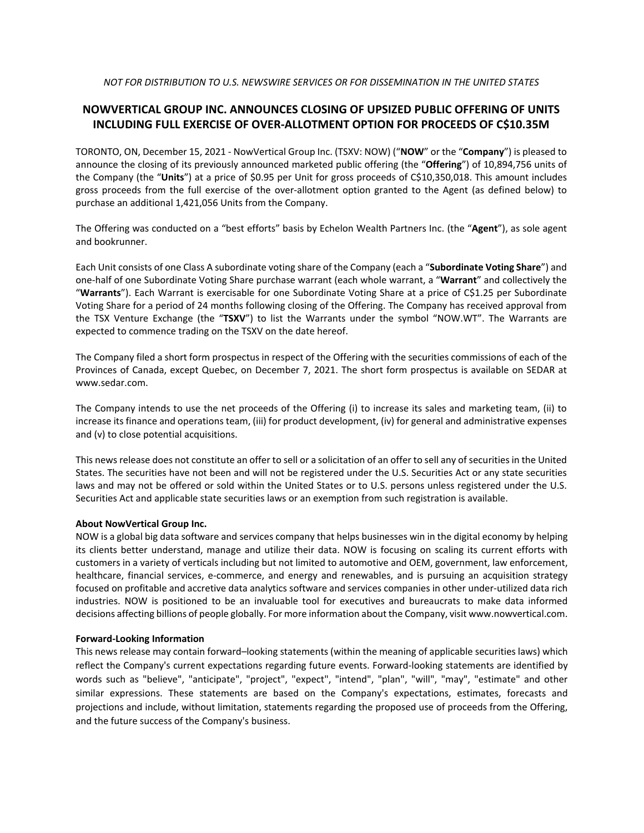## *NOT FOR DISTRIBUTION TO U.S. NEWSWIRE SERVICES OR FOR DISSEMINATION IN THE UNITED STATES*

## **NOWVERTICAL GROUP INC. ANNOUNCES CLOSING OF UPSIZED PUBLIC OFFERING OF UNITS INCLUDING FULL EXERCISE OF OVER-ALLOTMENT OPTION FOR PROCEEDS OF C\$10.35M**

TORONTO, ON, December 15, 2021 - NowVertical Group Inc. (TSXV: NOW) ("**NOW**" or the "**Company**") is pleased to announce the closing of its previously announced marketed public offering (the "**Offering**") of 10,894,756 units of the Company (the "**Units**") at a price of \$0.95 per Unit for gross proceeds of C\$10,350,018. This amount includes gross proceeds from the full exercise of the over-allotment option granted to the Agent (as defined below) to purchase an additional 1,421,056 Units from the Company.

The Offering was conducted on a "best efforts" basis by Echelon Wealth Partners Inc. (the "**Agent**"), as sole agent and bookrunner.

Each Unit consists of one Class A subordinate voting share of the Company (each a "**Subordinate Voting Share**") and one-half of one Subordinate Voting Share purchase warrant (each whole warrant, a "**Warrant**" and collectively the "**Warrants**"). Each Warrant is exercisable for one Subordinate Voting Share at a price of C\$1.25 per Subordinate Voting Share for a period of 24 months following closing of the Offering. The Company has received approval from the TSX Venture Exchange (the "**TSXV**") to list the Warrants under the symbol "NOW.WT". The Warrants are expected to commence trading on the TSXV on the date hereof.

The Company filed a short form prospectus in respect of the Offering with the securities commissions of each of the Provinces of Canada, except Quebec, on December 7, 2021. The short form prospectus is available on SEDAR at www.sedar.com.

The Company intends to use the net proceeds of the Offering (i) to increase its sales and marketing team, (ii) to increase its finance and operations team, (iii) for product development, (iv) for general and administrative expenses and (v) to close potential acquisitions.

This news release does not constitute an offer to sell or a solicitation of an offer to sell any of securities in the United States. The securities have not been and will not be registered under the U.S. Securities Act or any state securities laws and may not be offered or sold within the United States or to U.S. persons unless registered under the U.S. Securities Act and applicable state securities laws or an exemption from such registration is available.

## **About NowVertical Group Inc.**

NOW is a global big data software and services company that helps businesses win in the digital economy by helping its clients better understand, manage and utilize their data. NOW is focusing on scaling its current efforts with customers in a variety of verticals including but not limited to automotive and OEM, government, law enforcement, healthcare, financial services, e-commerce, and energy and renewables, and is pursuing an acquisition strategy focused on profitable and accretive data analytics software and services companies in other under-utilized data rich industries. NOW is positioned to be an invaluable tool for executives and bureaucrats to make data informed decisions affecting billions of people globally. For more information about the Company, visit www.nowvertical.com.

## **Forward-Looking Information**

This news release may contain forward–looking statements (within the meaning of applicable securities laws) which reflect the Company's current expectations regarding future events. Forward-looking statements are identified by words such as "believe", "anticipate", "project", "expect", "intend", "plan", "will", "may", "estimate" and other similar expressions. These statements are based on the Company's expectations, estimates, forecasts and projections and include, without limitation, statements regarding the proposed use of proceeds from the Offering, and the future success of the Company's business.